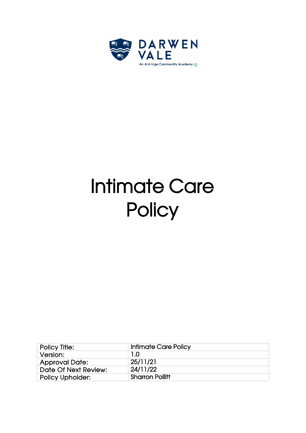

# Intimate Care **Policy**

| <b>Policy Title:</b>    | <b>Intimate Care Policy</b> |
|-------------------------|-----------------------------|
| Version:                | 1.0                         |
| <b>Approval Date:</b>   | 25/11/21                    |
| Date Of Next Review:    | 24/11/22                    |
| <b>Policy Upholder:</b> | <b>Sharron Pollitt</b>      |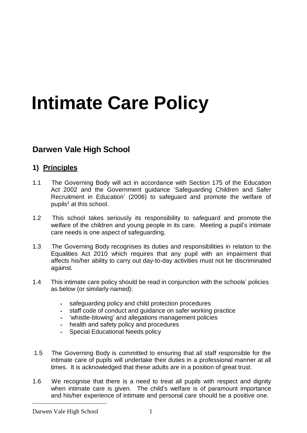## **Intimate Care Policy**

### **Darwen Vale High School**

#### **1) Principles**

- 1.1 The Governing Body will act in accordance with Section 175 of the Education Act 2002 and the Government guidance 'Safeguarding Children and Safer Recruitment in Education' (2006) to safeguard and promote the welfare of pupils <sup>1</sup> at this school.
- 1.2 This school takes seriously its responsibility to safeguard and promote the welfare of the children and young people in its care. Meeting a pupil's intimate care needs is one aspect of safeguarding.
- 1.3 The Governing Body recognises its duties and responsibilities in relation to the Equalities Act 2010 which requires that any pupil with an impairment that affects his/her ability to carry out day-to-day activities must not be discriminated against.
- 1.4 This intimate care policy should be read in conjunction with the schools' policies as below (or similarly named):
	- safeguarding policy and child protection procedures
	- staff code of conduct and guidance on safer working practice
	- 'whistle-blowing' and allegations management policies
	- health and safety policy and procedures
	- Special Educational Needs policy
- 1.5 The Governing Body is committed to ensuring that all staff responsible for the intimate care of pupils will undertake their duties in a professional manner at all times. It is acknowledged that these adults are in a position of great trust.
- 1.6 We recognise that there is a need to treat all pupils with respect and dignity when intimate care is given. The child's welfare is of paramount importance and his/her experience of intimate and personal care should be a positive one.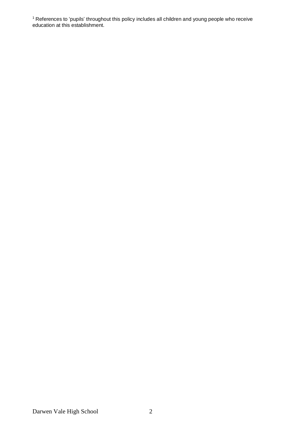$1$  References to 'pupils' throughout this policy includes all children and young people who receive education at this establishment.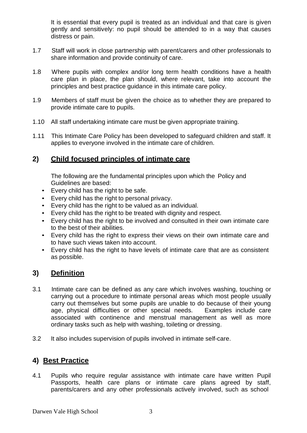It is essential that every pupil is treated as an individual and that care is given gently and sensitively: no pupil should be attended to in a way that causes distress or pain.

- 1.7 Staff will work in close partnership with parent/carers and other professionals to share information and provide continuity of care.
- 1.8 Where pupils with complex and/or long term health conditions have a health care plan in place, the plan should, where relevant, take into account the principles and best practice guidance in this intimate care policy.
- 1.9 Members of staff must be given the choice as to whether they are prepared to provide intimate care to pupils.
- 1.10 All staff undertaking intimate care must be given appropriate training.
- 1.11 This Intimate Care Policy has been developed to safeguard children and staff. It applies to everyone involved in the intimate care of children.

#### **2) Child focused principles of intimate care**

The following are the fundamental principles upon which the Policy and Guidelines are based:

- Every child has the right to be safe.
- Every child has the right to personal privacy.
- Every child has the right to be valued as an individual.
- Every child has the right to be treated with dignity and respect.
- Every child has the right to be involved and consulted in their own intimate care to the best of their abilities.
- Every child has the right to express their views on their own intimate care and to have such views taken into account.
- Every child has the right to have levels of intimate care that are as consistent as possible.

#### **3) Definition**

- 3.1 Intimate care can be defined as any care which involves washing, touching or carrying out a procedure to intimate personal areas which most people usually carry out themselves but some pupils are unable to do because of their young age, physical difficulties or other special needs. Examples include care associated with continence and menstrual management as well as more ordinary tasks such as help with washing, toileting or dressing.
- 3.2 It also includes supervision of pupils involved in intimate self-care.

#### **4) Best Practice**

4.1 Pupils who require regular assistance with intimate care have written Pupil Passports, health care plans or intimate care plans agreed by staff, parents/carers and any other professionals actively involved, such as school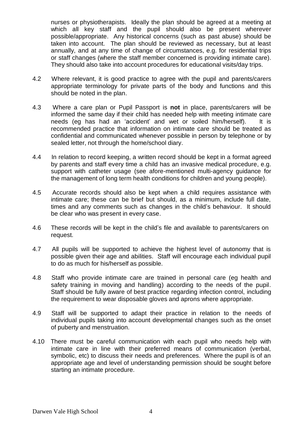nurses or physiotherapists. Ideally the plan should be agreed at a meeting at which all key staff and the pupil should also be present wherever possible/appropriate. Any historical concerns (such as past abuse) should be taken into account. The plan should be reviewed as necessary, but at least annually, and at any time of change of circumstances, e.g. for residential trips or staff changes (where the staff member concerned is providing intimate care). They should also take into account procedures for educational visits/day trips.

- 4.2 Where relevant, it is good practice to agree with the pupil and parents/carers appropriate terminology for private parts of the body and functions and this should be noted in the plan.
- 4.3 Where a care plan or Pupil Passport is **not** in place, parents/carers will be informed the same day if their child has needed help with meeting intimate care needs (eg has had an 'accident' and wet or soiled him/herself). It is recommended practice that information on intimate care should be treated as confidential and communicated whenever possible in person by telephone or by sealed letter, not through the home/school diary.
- 4.4 In relation to record keeping, a written record should be kept in a format agreed by parents and staff every time a child has an invasive medical procedure, e.g. support with catheter usage (see afore-mentioned multi-agency guidance for the management of long term health conditions for children and young people).
- 4.5 Accurate records should also be kept when a child requires assistance with intimate care; these can be brief but should, as a minimum, include full date, times and any comments such as changes in the child's behaviour. It should be clear who was present in every case.
- 4.6 These records will be kept in the child's file and available to parents/carers on request.
- 4.7 All pupils will be supported to achieve the highest level of autonomy that is possible given their age and abilities. Staff will encourage each individual pupil to do as much for his/herself as possible.
- 4.8 Staff who provide intimate care are trained in personal care (eg health and safety training in moving and handling) according to the needs of the pupil. Staff should be fully aware of best practice regarding infection control, including the requirement to wear disposable gloves and aprons where appropriate.
- 4.9 Staff will be supported to adapt their practice in relation to the needs of individual pupils taking into account developmental changes such as the onset of puberty and menstruation.
- 4.10 There must be careful communication with each pupil who needs help with intimate care in line with their preferred means of communication (verbal, symbolic, etc) to discuss their needs and preferences. Where the pupil is of an appropriate age and level of understanding permission should be sought before starting an intimate procedure.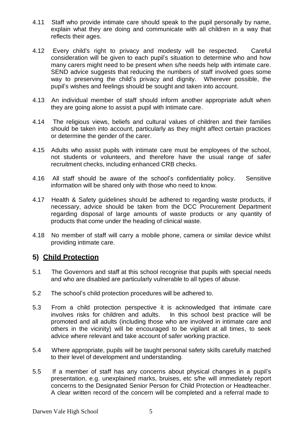- 4.11 Staff who provide intimate care should speak to the pupil personally by name, explain what they are doing and communicate with all children in a way that reflects their ages.
- 4.12 Every child's right to privacy and modesty will be respected. Careful consideration will be given to each pupil's situation to determine who and how many carers might need to be present when s/he needs help with intimate care. SEND advice suggests that reducing the numbers of staff involved goes some way to preserving the child's privacy and dignity. Wherever possible, the pupil's wishes and feelings should be sought and taken into account.
- 4.13 An individual member of staff should inform another appropriate adult when they are going alone to assist a pupil with intimate care.
- 4.14 The religious views, beliefs and cultural values of children and their families should be taken into account, particularly as they might affect certain practices or determine the gender of the carer.
- 4.15 Adults who assist pupils with intimate care must be employees of the school, not students or volunteers, and therefore have the usual range of safer recruitment checks, including enhanced CRB checks.
- 4.16 All staff should be aware of the school's confidentiality policy. Sensitive information will be shared only with those who need to know.
- 4.17 Health & Safety guidelines should be adhered to regarding waste products, if necessary, advice should be taken from the DCC Procurement Department regarding disposal of large amounts of waste products or any quantity of products that come under the heading of clinical waste.
- 4.18 No member of staff will carry a mobile phone, camera or similar device whilst providing intimate care.

#### **5) Child Protection**

- 5.1 The Governors and staff at this school recognise that pupils with special needs and who are disabled are particularly vulnerable to all types of abuse.
- 5.2 The school's child protection procedures will be adhered to.
- 5.3 From a child protection perspective it is acknowledged that intimate care involves risks for children and adults. In this school best practice will be promoted and all adults (including those who are involved in intimate care and others in the vicinity) will be encouraged to be vigilant at all times, to seek advice where relevant and take account of safer working practice.
- 5.4 Where appropriate, pupils will be taught personal safety skills carefully matched to their level of development and understanding.
- 5.5 If a member of staff has any concerns about physical changes in a pupil's presentation, e.g. unexplained marks, bruises, etc s/he will immediately report concerns to the Designated Senior Person for Child Protection or Headteacher. A clear written record of the concern will be completed and a referral made to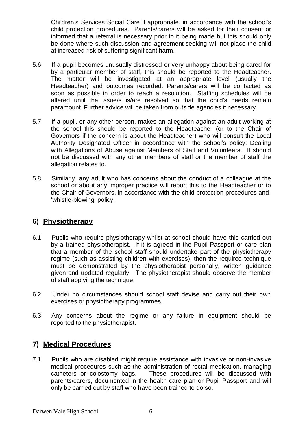Children's Services Social Care if appropriate, in accordance with the school's child protection procedures. Parents/carers will be asked for their consent or informed that a referral is necessary prior to it being made but this should only be done where such discussion and agreement-seeking will not place the child at increased risk of suffering significant harm.

- 5.6 If a pupil becomes unusually distressed or very unhappy about being cared for by a particular member of staff, this should be reported to the Headteacher. The matter will be investigated at an appropriate level (usually the Headteacher) and outcomes recorded. Parents/carers will be contacted as soon as possible in order to reach a resolution. Staffing schedules will be altered until the issue/s is/are resolved so that the child's needs remain paramount. Further advice will be taken from outside agencies if necessary.
- 5.7 If a pupil, or any other person, makes an allegation against an adult working at the school this should be reported to the Headteacher (or to the Chair of Governors if the concern is about the Headteacher) who will consult the Local Authority Designated Officer in accordance with the school's policy: Dealing with Allegations of Abuse against Members of Staff and Volunteers. It should not be discussed with any other members of staff or the member of staff the allegation relates to.
- 5.8 Similarly, any adult who has concerns about the conduct of a colleague at the school or about any improper practice will report this to the Headteacher or to the Chair of Governors, in accordance with the child protection procedures and 'whistle-blowing' policy.

#### **6) Physiotherapy**

- 6.1 Pupils who require physiotherapy whilst at school should have this carried out by a trained physiotherapist. If it is agreed in the Pupil Passport or care plan that a member of the school staff should undertake part of the physiotherapy regime (such as assisting children with exercises), then the required technique must be demonstrated by the physiotherapist personally, written guidance given and updated regularly. The physiotherapist should observe the member of staff applying the technique.
- 6.2 Under no circumstances should school staff devise and carry out their own exercises or physiotherapy programmes.
- 6.3 Any concerns about the regime or any failure in equipment should be reported to the physiotherapist.

#### **7) Medical Procedures**

7.1 Pupils who are disabled might require assistance with invasive or non-invasive medical procedures such as the administration of rectal medication, managing catheters or colostomy bags. These procedures will be discussed with parents/carers, documented in the health care plan or Pupil Passport and will only be carried out by staff who have been trained to do so.